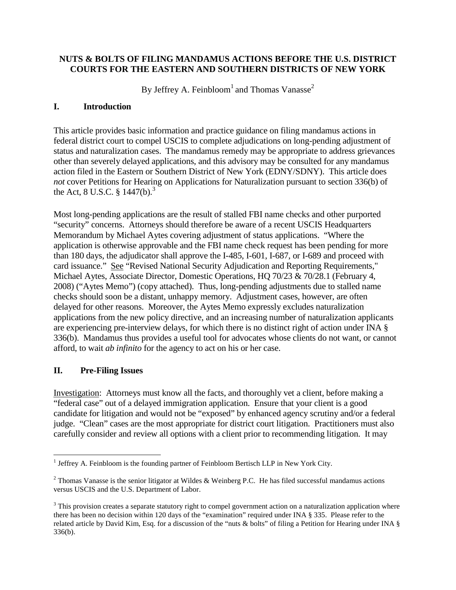#### **NUTS & BOLTS OF FILING MANDAMUS ACTIONS BEFORE THE U.S. DISTRICT COURTS FOR THE EASTERN AND SOUTHERN DISTRICTS OF NEW YORK**

By Jeffrey A. Feinbloom<sup>[1](#page-0-0)</sup> and Thomas Vanasse<sup>[2](#page-0-1)</sup>

#### **I. Introduction**

This article provides basic information and practice guidance on filing mandamus actions in federal district court to compel USCIS to complete adjudications on long-pending adjustment of status and naturalization cases. The mandamus remedy may be appropriate to address grievances other than severely delayed applications, and this advisory may be consulted for any mandamus action filed in the Eastern or Southern District of New York (EDNY/SDNY). This article does *not* cover Petitions for Hearing on Applications for Naturalization pursuant to section 336(b) of the Act, 8 U.S.C.  $\S$  1447(b).<sup>[3](#page-0-2)</sup>

Most long-pending applications are the result of stalled FBI name checks and other purported "security" concerns. Attorneys should therefore be aware of a recent USCIS Headquarters Memorandum by Michael Aytes covering adjustment of status applications. "Where the application is otherwise approvable and the FBI name check request has been pending for more than 180 days, the adjudicator shall approve the I-485, I-601, I-687, or I-689 and proceed with card issuance." See "Revised National Security Adjudication and Reporting Requirements," Michael Aytes, Associate Director, Domestic Operations, HQ 70/23 & 70/28.1 (February 4, 2008) ("Aytes Memo") (copy attached). Thus, long-pending adjustments due to stalled name checks should soon be a distant, unhappy memory. Adjustment cases, however, are often delayed for other reasons. Moreover, the Aytes Memo expressly excludes naturalization applications from the new policy directive, and an increasing number of naturalization applicants are experiencing pre-interview delays, for which there is no distinct right of action under INA § 336(b). Mandamus thus provides a useful tool for advocates whose clients do not want, or cannot afford, to wait *ab infinito* for the agency to act on his or her case.

#### **II. Pre-Filing Issues**

Investigation: Attorneys must know all the facts, and thoroughly vet a client, before making a "federal case" out of a delayed immigration application. Ensure that your client is a good candidate for litigation and would not be "exposed" by enhanced agency scrutiny and/or a federal judge. "Clean" cases are the most appropriate for district court litigation. Practitioners must also carefully consider and review all options with a client prior to recommending litigation. It may

<span id="page-0-0"></span><sup>&</sup>lt;sup>1</sup> Jeffrey A. Feinbloom is the founding partner of Feinbloom Bertisch LLP in New York City.

<span id="page-0-1"></span><sup>&</sup>lt;sup>2</sup> Thomas Vanasse is the senior litigator at Wildes & Weinberg P.C. He has filed successful mandamus actions versus USCIS and the U.S. Department of Labor.

<span id="page-0-2"></span><sup>&</sup>lt;sup>3</sup> This provision creates a separate statutory right to compel government action on a naturalization application where there has been no decision within 120 days of the "examination" required under INA § 335. Please refer to the related article by David Kim, Esq. for a discussion of the "nuts & bolts" of filing a Petition for Hearing under INA § 336(b).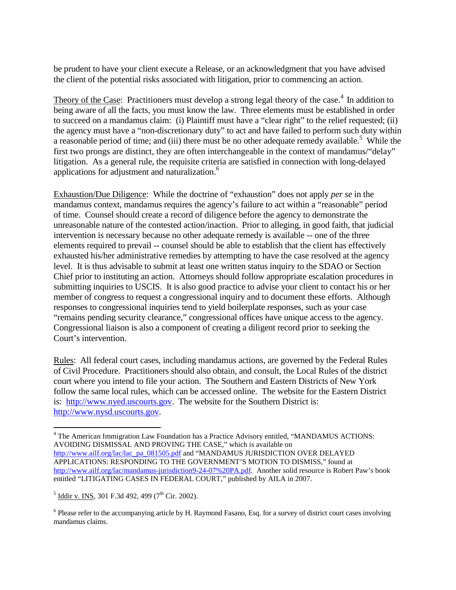be prudent to have your client execute a Release, or an acknowledgment that you have advised the client of the potential risks associated with litigation, prior to commencing an action.

Theoryof the Case: Practitioners must develop a strong legal theory of the case.<sup>4</sup> In addition to being aware of all the facts, you must know the law. Three elements must be established in order to succeed on a mandamus claim: (i) Plaintiff must have a "clear right" to the relief requested; (ii) the agency must have a "non-discretionary duty" to act and have failed to perform such duty within a reasonable period of time; and (iii) there must be no other adequate remedy available.<sup>[5](#page-1-1)</sup> While the first two prongs are distinct, they are often interchangeable in the context of mandamus/"delay" litigation. As a general rule, the requisite criteria are satisfied in connection with long-delayed applications for adjustment and naturalization.<sup>[6](#page-1-2)</sup>

Exhaustion/Due Diligence: While the doctrine of "exhaustion" does not apply *per se* in the mandamus context, mandamus requires the agency's failure to act within a "reasonable" period of time. Counsel should create a record of diligence before the agency to demonstrate the unreasonable nature of the contested action/inaction. Prior to alleging, in good faith, that judicial intervention is necessary because no other adequate remedy is available -- one of the three elements required to prevail -- counsel should be able to establish that the client has effectively exhausted his/her administrative remedies by attempting to have the case resolved at the agency level. It is thus advisable to submit at least one written status inquiry to the SDAO or Section Chief prior to instituting an action. Attorneys should follow appropriate escalation procedures in submitting inquiries to USCIS. It is also good practice to advise your client to contact his or her member of congress to request a congressional inquiry and to document these efforts. Although responses to congressional inquiries tend to yield boilerplate responses, such as your case "remains pending security clearance," congressional offices have unique access to the agency. Congressional liaison is also a component of creating a diligent record prior to seeking the Court's intervention.

Rules: All federal court cases, including mandamus actions, are governed by the Federal Rules of Civil Procedure. Practitioners should also obtain, and consult, the Local Rules of the district court where you intend to file your action. The Southern and Eastern Districts of New York follow the same local rules, which can be accessed online. The website for the Eastern District is: <http://www.nyed.uscourts.gov>. The website for the Southern District is: [http://www.nysd.uscourts.gov.](http://www.nysd.uscourts.gov)

<span id="page-1-0"></span><sup>4</sup> The American Immigration Law Foundation has a Practice Advisory entitled, "MANDAMUS ACTIONS: AVOIDING DISMISSAL AND PROVING THE CASE," which is available on http://www.ailf.org/lac/lac\_pa\_081505.pdf and "MANDAMUS JURISDICTION OVER DELAYED APPLICATIONS: RESPONDING TO THE GOVERNMENT'S MOTION TO DISMISS," found at http://www.ailf.org/lac/mandamus-jurisdiction9-24-07%20PA.pdf. Another solid resource is Robert Paw's book entitled "LITIGATING CASES IN FEDERAL COURT," published by AILA in 2007.

<span id="page-1-1"></span> $^5$  <u>Iddir v. INS</u>, 301 F.3d 492, 499 (7<sup>th</sup> Cir. 2002).

<span id="page-1-2"></span> $6$  Please refer to the accompanying article by H. Raymond Fasano, Esq. for a survey of district court cases involving mandamus claims.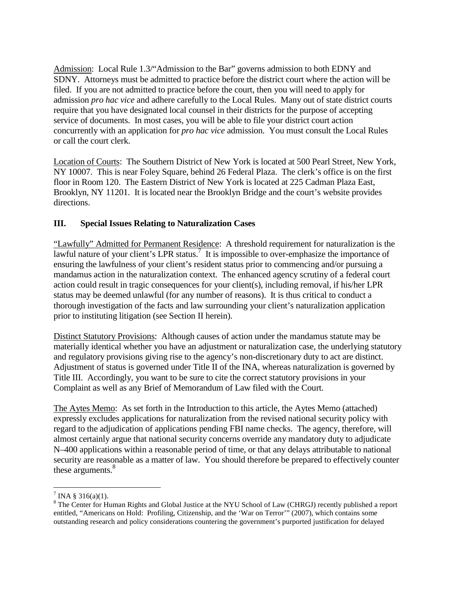Admission: Local Rule 1.3/"Admission to the Bar" governs admission to both EDNY and SDNY. Attorneys must be admitted to practice before the district court where the action will be filed. If you are not admitted to practice before the court, then you will need to apply for admission *pro hac vice* and adhere carefully to the Local Rules. Many out of state district courts require that you have designated local counsel in their districts for the purpose of accepting service of documents. In most cases, you will be able to file your district court action concurrently with an application for *pro hac vice* admission. You must consult the Local Rules or call the court clerk.

Location of Courts: The Southern District of New York is located at 500 Pearl Street, New York, NY 10007. This is near Foley Square, behind 26 Federal Plaza. The clerk's office is on the first floor in Room 120. The Eastern District of New York is located at 225 Cadman Plaza East, Brooklyn, NY 11201. It is located near the Brooklyn Bridge and the court's website provides directions.

### **III. Special Issues Relating to Naturalization Cases**

"Lawfully" Admitted for Permanent Residence: A threshold requirement for naturalization is the lawful nature of your client's LPR status.<sup>[7](#page-2-0)</sup> It is impossible to over-emphasize the importance of ensuring the lawfulness of your client's resident status prior to commencing and/or pursuing a mandamus action in the naturalization context. The enhanced agency scrutiny of a federal court action could result in tragic consequences for your client(s), including removal, if his/her LPR status may be deemed unlawful (for any number of reasons). It is thus critical to conduct a thorough investigation of the facts and law surrounding your client's naturalization application prior to instituting litigation (see Section II herein).

Distinct Statutory Provisions: Although causes of action under the mandamus statute may be materially identical whether you have an adjustment or naturalization case, the underlying statutory and regulatory provisions giving rise to the agency's non-discretionary duty to act are distinct. Adjustment of status is governed under Title II of the INA, whereas naturalization is governed by Title III. Accordingly, you want to be sure to cite the correct statutory provisions in your Complaint as well as any Brief of Memorandum of Law filed with the Court.

The Aytes Memo: As set forth in the Introduction to this article, the Aytes Memo (attached) expressly excludes applications for naturalization from the revised national security policy with regard to the adjudication of applications pending FBI name checks. The agency, therefore, will almost certainly argue that national security concerns override any mandatory duty to adjudicate N–400 applications within a reasonable period of time, or that any delays attributable to national security are reasonable as a matter of law. You should therefore be prepared to effectively counter these arguments.<sup>[8](#page-2-1)</sup>

<span id="page-2-1"></span><span id="page-2-0"></span> $^7$  INA § 316(a)(1).

<sup>&</sup>lt;sup>8</sup> The Center for Human Rights and Global Justice at the NYU School of Law (CHRGJ) recently published a report entitled, "Americans on Hold: Profiling, Citizenship, and the 'War on Terror'" (2007), which contains some outstanding research and policy considerations countering the government's purported justification for delayed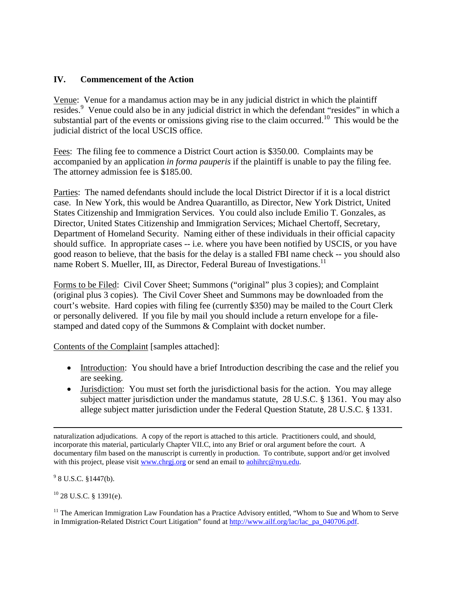#### **IV. Commencement of the Action**

Venue: Venue for a mandamus action may be in any judicial district in which the plaintiff resides.<sup>[9](#page-3-0)</sup> Venue could also be in any judicial district in which the defendant "resides" in which a substantial part of the events or omissions giving rise to the claim occurred.<sup>[10](#page-3-1)</sup> This would be the judicial district of the local USCIS office.

Fees: The filing fee to commence a District Court action is \$350.00. Complaints may be accompanied by an application *in forma pauperis* if the plaintiff is unable to pay the filing fee. The attorney admission fee is \$185.00.

Parties: The named defendants should include the local District Director if it is a local district case. In New York, this would be Andrea Quarantillo, as Director, New York District, United States Citizenship and Immigration Services. You could also include Emilio T. Gonzales, as Director, United States Citizenship and Immigration Services; Michael Chertoff, Secretary, Department of Homeland Security. Naming either of these individuals in their official capacity should suffice. In appropriate cases -- i.e. where you have been notified by USCIS, or you have good reason to believe, that the basis for the delay is a stalled FBI name check -- you should also name Robert S. Mueller, III, as Director, Federal Bureau of Investigations.<sup>[11](#page-3-2)</sup>

Forms to be Filed: Civil Cover Sheet; Summons ("original" plus 3 copies); and Complaint (original plus 3 copies). The Civil Cover Sheet and Summons may be downloaded from the court's website. Hard copies with filing fee (currently \$350) may be mailed to the Court Clerk or personally delivered. If you file by mail you should include a return envelope for a filestamped and dated copy of the Summons & Complaint with docket number.

Contents of the Complaint [samples attached]:

- Introduction: You should have a brief Introduction describing the case and the relief you are seeking.
- Jurisdiction: You must set forth the jurisdictional basis for the action. You may allege subject matter jurisdiction under the mandamus statute, 28 U.S.C. § 1361. You may also allege subject matter jurisdiction under the Federal Question Statute, 28 U.S.C. § 1331.

<span id="page-3-0"></span> $9$  8 U.S.C. §1447(b).

<span id="page-3-1"></span> $^{10}$  28 U.S.C. § 1391(e).

<span id="page-3-2"></span> $11$  The American Immigration Law Foundation has a Practice Advisory entitled, "Whom to Sue and Whom to Serve in Immigration-Related District Court Litigation" found at http://www.ailf.org/lac/lac\_pa\_040706.pdf.

naturalization adjudications. A copy of the report is attached to this article. Practitioners could, and should, incorporate this material, particularly Chapter VII.C, into any Brief or oral argument before the court. A documentary film based on the manuscript is currently in production. To contribute, support and/or get involved with this project, please visit www.chrgj.org or send an email to aohihrc@nyu.edu.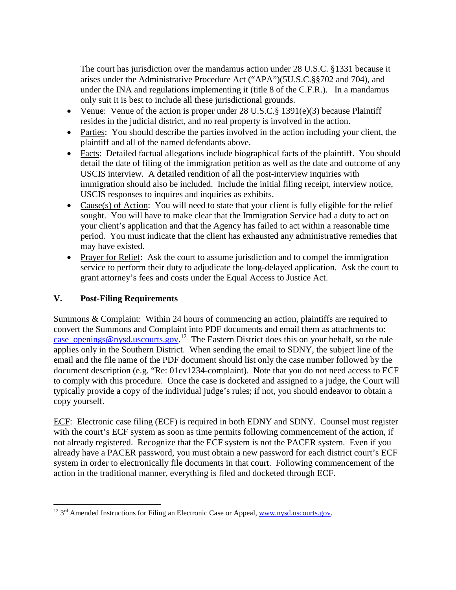The court has jurisdiction over the mandamus action under 28 U.S.C. §1331 because it arises under the Administrative Procedure Act ("APA")(5U.S.C.§§702 and 704), and under the INA and regulations implementing it (title 8 of the C.F.R.). In a mandamus only suit it is best to include all these jurisdictional grounds.

- Venue: Venue of the action is proper under 28 U.S.C.§ 1391(e)(3) because Plaintiff resides in the judicial district, and no real property is involved in the action.
- Parties: You should describe the parties involved in the action including your client, the plaintiff and all of the named defendants above.
- Facts: Detailed factual allegations include biographical facts of the plaintiff. You should detail the date of filing of the immigration petition as well as the date and outcome of any USCIS interview. A detailed rendition of all the post-interview inquiries with immigration should also be included. Include the initial filing receipt, interview notice, USCIS responses to inquires and inquiries as exhibits.
- Cause(s) of Action: You will need to state that your client is fully eligible for the relief sought. You will have to make clear that the Immigration Service had a duty to act on your client's application and that the Agency has failed to act within a reasonable time period. You must indicate that the client has exhausted any administrative remedies that may have existed.
- Prayer for Relief: Ask the court to assume jurisdiction and to compel the immigration service to perform their duty to adjudicate the long-delayed application. Ask the court to grant attorney's fees and costs under the Equal Access to Justice Act.

## **V. Post-Filing Requirements**

Summons & Complaint: Within 24 hours of commencing an action, plaintiffs are required to convert the Summons and Complaint into PDF documents and email them as attachments to: case openings@nysd.uscourts.gov.<sup>[12](#page-4-0)</sup> The Eastern District does this on your behalf, so the rule applies only in the Southern District. When sending the email to SDNY, the subject line of the email and the file name of the PDF document should list only the case number followed by the document description (e.g. "Re: 01cv1234-complaint). Note that you do not need access to ECF to comply with this procedure. Once the case is docketed and assigned to a judge, the Court will typically provide a copy of the individual judge's rules; if not, you should endeavor to obtain a copy yourself.

ECF: Electronic case filing (ECF) is required in both EDNY and SDNY. Counsel must register with the court's ECF system as soon as time permits following commencement of the action, if not already registered. Recognize that the ECF system is not the PACER system. Even if you already have a PACER password, you must obtain a new password for each district court's ECF system in order to electronically file documents in that court. Following commencement of the action in the traditional manner, everything is filed and docketed through ECF.

<span id="page-4-0"></span> $^{12}$  3<sup>rd</sup> Amended Instructions for Filing an Electronic Case or Appeal, www.nysd.uscourts.gov.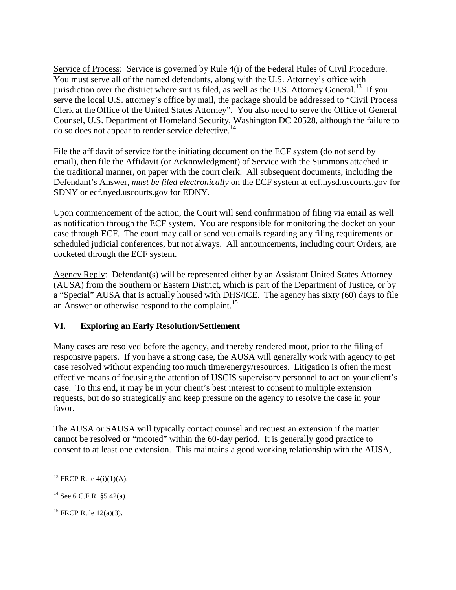Service of Process: Service is governed by Rule 4(i) of the Federal Rules of Civil Procedure. You must serve all of the named defendants, along with the U.S. Attorney's office with jurisdiction over the district where suit is filed, as well as the U.S. Attorney General.<sup>[13](#page-5-0)</sup> If you serve the local U.S. attorney's office by mail, the package should be addressed to "Civil Process Clerk at the Office of the United States Attorney". You also need to serve the Office of General Counsel, U.S. Department of Homeland Security, Washington DC 20528, although the failure to do so does not appear to render service defective.<sup>[14](#page-5-1)</sup>

File the affidavit of service for the initiating document on the ECF system (do not send by email), then file the Affidavit (or Acknowledgment) of Service with the Summons attached in the traditional manner, on paper with the court clerk. All subsequent documents, including the Defendant's Answer, *must be filed electronically* on the ECF system at ecf.nysd.uscourts.gov for SDNY or ecf.nyed.uscourts.gov for EDNY.

Upon commencement of the action, the Court will send confirmation of filing via email as well as notification through the ECF system. You are responsible for monitoring the docket on your case through ECF. The court may call or send you emails regarding any filing requirements or scheduled judicial conferences, but not always. All announcements, including court Orders, are docketed through the ECF system.

Agency Reply: Defendant(s) will be represented either by an Assistant United States Attorney (AUSA) from the Southern or Eastern District, which is part of the Department of Justice, or by a "Special" AUSA that is actually housed with DHS/ICE. The agency has sixty (60) days to file an Answer or otherwise respond to the complaint.<sup>[15](#page-5-2)</sup>

#### **VI. Exploring an Early Resolution/Settlement**

Many cases are resolved before the agency, and thereby rendered moot, prior to the filing of responsive papers. If you have a strong case, the AUSA will generally work with agency to get case resolved without expending too much time/energy/resources. Litigation is often the most effective means of focusing the attention of USCIS supervisory personnel to act on your client's case. To this end, it may be in your client's best interest to consent to multiple extension requests, but do so strategically and keep pressure on the agency to resolve the case in your favor.

The AUSA or SAUSA will typically contact counsel and request an extension if the matter cannot be resolved or "mooted" within the 60-day period. It is generally good practice to consent to at least one extension. This maintains a good working relationship with the AUSA,

<span id="page-5-0"></span><sup>&</sup>lt;sup>13</sup> FRCP Rule  $4(i)(1)(A)$ .

<span id="page-5-1"></span> $14$  See 6 C.F.R. §5.42(a).

<span id="page-5-2"></span><sup>&</sup>lt;sup>15</sup> FRCP Rule  $12(a)(3)$ .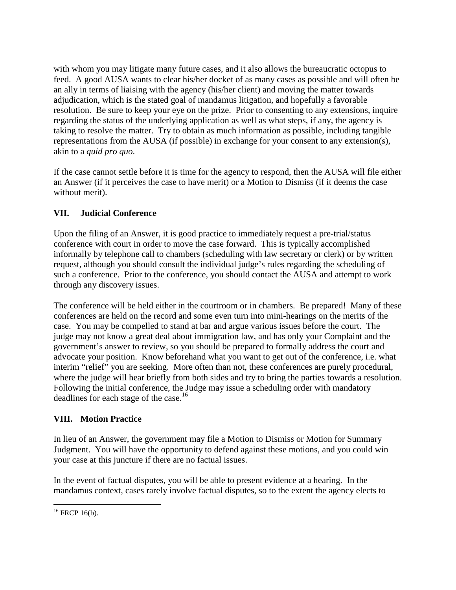with whom you may litigate many future cases, and it also allows the bureaucratic octopus to feed. A good AUSA wants to clear his/her docket of as many cases as possible and will often be an ally in terms of liaising with the agency (his/her client) and moving the matter towards adjudication, which is the stated goal of mandamus litigation, and hopefully a favorable resolution. Be sure to keep your eye on the prize. Prior to consenting to any extensions, inquire regarding the status of the underlying application as well as what steps, if any, the agency is taking to resolve the matter. Try to obtain as much information as possible, including tangible representations from the AUSA (if possible) in exchange for your consent to any extension(s), akin to a *quid pro quo*.

If the case cannot settle before it is time for the agency to respond, then the AUSA will file either an Answer (if it perceives the case to have merit) or a Motion to Dismiss (if it deems the case without merit).

# **VII. Judicial Conference**

Upon the filing of an Answer, it is good practice to immediately request a pre-trial/status conference with court in order to move the case forward. This is typically accomplished informally by telephone call to chambers (scheduling with law secretary or clerk) or by written request, although you should consult the individual judge's rules regarding the scheduling of such a conference. Prior to the conference, you should contact the AUSA and attempt to work through any discovery issues.

The conference will be held either in the courtroom or in chambers. Be prepared! Many of these conferences are held on the record and some even turn into mini-hearings on the merits of the case. You may be compelled to stand at bar and argue various issues before the court. The judge may not know a great deal about immigration law, and has only your Complaint and the government's answer to review, so you should be prepared to formally address the court and advocate your position. Know beforehand what you want to get out of the conference, i.e. what interim "relief" you are seeking. More often than not, these conferences are purely procedural, where the judge will hear briefly from both sides and try to bring the parties towards a resolution. Following the initial conference, the Judge may issue a scheduling order with mandatory deadlinesfor each stage of the case[.](#page-6-0)<sup>16</sup>

## **VIII. Motion Practice**

In lieu of an Answer, the government may file a Motion to Dismiss or Motion for Summary Judgment. You will have the opportunity to defend against these motions, and you could win your case at this juncture if there are no factual issues.

In the event of factual disputes, you will be able to present evidence at a hearing. In the mandamus context, cases rarely involve factual disputes, so to the extent the agency elects to

<span id="page-6-0"></span> $16$  FRCP 16(b).